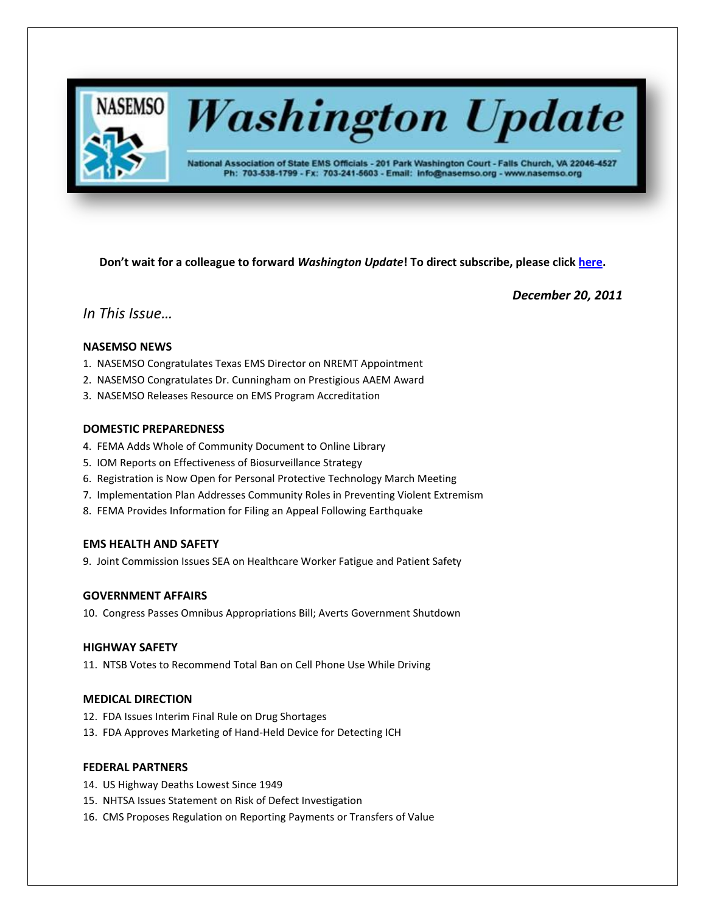

# **Washington Update**

National Association of State EMS Officials - 201 Park Washington Court - Falls Church, VA 22046-4527 Ph: 703-538-1799 - Fx: 703-241-5603 - Email: info@nasemso.org - www.nasemso.org

**Don't wait for a colleague to forward** *Washington Update***! To direct subscribe, please click [here.](http://lists.nasemso.org/read/all_forums/subscribe?name=wu%20)**

*December 20, 2011*

# *In This Issue…*

# **NASEMSO NEWS**

- 1. NASEMSO Congratulates Texas EMS Director on NREMT Appointment
- 2. NASEMSO Congratulates Dr. Cunningham on Prestigious AAEM Award
- 3. NASEMSO Releases Resource on EMS Program Accreditation

# **DOMESTIC PREPAREDNESS**

- 4. FEMA Adds Whole of Community Document to Online Library
- 5. IOM Reports on Effectiveness of Biosurveillance Strategy
- 6. Registration is Now Open for Personal Protective Technology March Meeting
- 7. Implementation Plan Addresses Community Roles in Preventing Violent Extremism
- 8. FEMA Provides Information for Filing an Appeal Following Earthquake

# **EMS HEALTH AND SAFETY**

9. Joint Commission Issues SEA on Healthcare Worker Fatigue and Patient Safety

# **GOVERNMENT AFFAIRS**

10. Congress Passes Omnibus Appropriations Bill; Averts Government Shutdown

# **HIGHWAY SAFETY**

11. NTSB Votes to Recommend Total Ban on Cell Phone Use While Driving

# **MEDICAL DIRECTION**

- 12. FDA Issues Interim Final Rule on Drug Shortages
- 13. FDA Approves Marketing of Hand-Held Device for Detecting ICH

# **FEDERAL PARTNERS**

- 14. US Highway Deaths Lowest Since 1949
- 15. NHTSA Issues Statement on Risk of Defect Investigation
- 16. CMS Proposes Regulation on Reporting Payments or Transfers of Value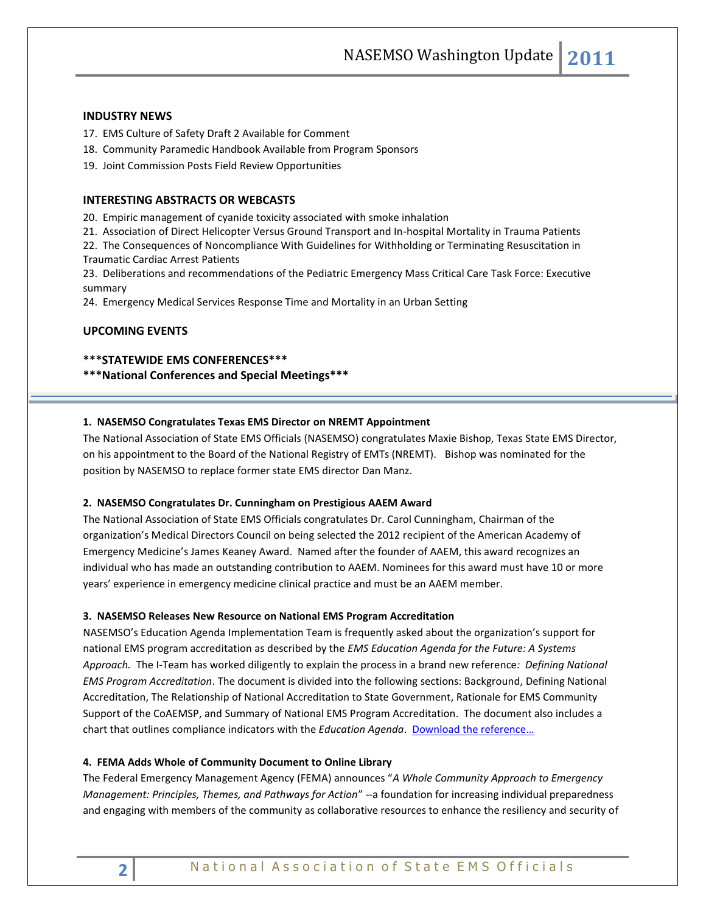## **INDUSTRY NEWS**

- 17. EMS Culture of Safety Draft 2 Available for Comment
- 18. Community Paramedic Handbook Available from Program Sponsors
- 19. Joint Commission Posts Field Review Opportunities

#### **INTERESTING ABSTRACTS OR WEBCASTS**

20. Empiric management of cyanide toxicity associated with smoke inhalation

21. Association of Direct Helicopter Versus Ground Transport and In-hospital Mortality in Trauma Patients

22. The Consequences of Noncompliance With Guidelines for Withholding or Terminating Resuscitation in Traumatic Cardiac Arrest Patients

23. Deliberations and recommendations of the Pediatric Emergency Mass Critical Care Task Force: Executive summary

24. Emergency Medical Services Response Time and Mortality in an Urban Setting

# **UPCOMING EVENTS**

## **\*\*\*STATEWIDE EMS CONFERENCES\*\*\***

**\*\*\*National Conferences and Special Meetings\*\*\***

## **1. NASEMSO Congratulates Texas EMS Director on NREMT Appointment**

The National Association of State EMS Officials (NASEMSO) congratulates Maxie Bishop, Texas State EMS Director, on his appointment to the Board of the National Registry of EMTs (NREMT). Bishop was nominated for the position by NASEMSO to replace former state EMS director Dan Manz.

#### **2. NASEMSO Congratulates Dr. Cunningham on Prestigious AAEM Award**

The National Association of State EMS Officials congratulates Dr. Carol Cunningham, Chairman of the organization's Medical Directors Council on being selected the 2012 recipient of the American Academy of Emergency Medicine's James Keaney Award. Named after the founder of AAEM, this award recognizes an individual who has made an outstanding contribution to AAEM. Nominees for this award must have 10 or more years' experience in emergency medicine clinical practice and must be an AAEM member.

#### **3. NASEMSO Releases New Resource on National EMS Program Accreditation**

NASEMSO's Education Agenda Implementation Team is frequently asked about the organization's support for national EMS program accreditation as described by the *EMS Education Agenda for the Future: A Systems Approach.* The I-Team has worked diligently to explain the process in a brand new reference*: Defining National EMS Program Accreditation*. The document is divided into the following sections: Background, Defining National Accreditation, The Relationship of National Accreditation to State Government, Rationale for EMS Community Support of the CoAEMSP, and Summary of National EMS Program Accreditation. The document also includes a chart that outlines compliance indicators with the *Education Agenda*. [Download the reference](http://www.nasemso.org/EMSEducationImplementationPlanning/documents/DefiningNationalEMSProgramAccreditationFINAL.pdf)…

#### **4. FEMA Adds Whole of Community Document to Online Library**

The Federal Emergency Management Agency (FEMA) announces "*A Whole Community Approach to Emergency Management: Principles, Themes, and Pathways for Action*" --a foundation for increasing individual preparedness and engaging with members of the community as collaborative resources to enhance the resiliency and security of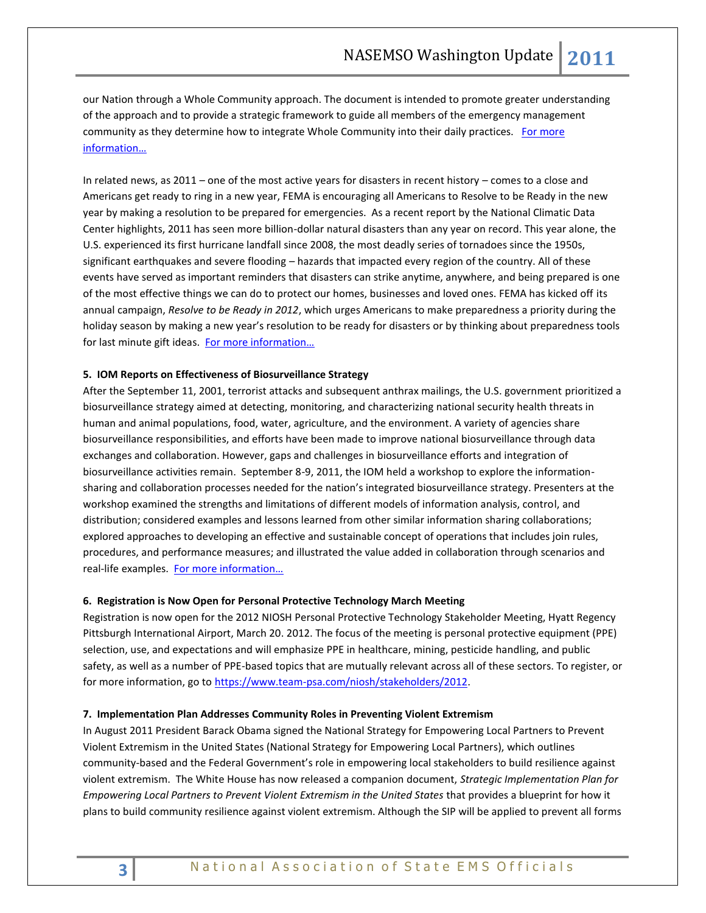our Nation through a Whole Community approach. The document is intended to promote greater understanding of the approach and to provide a strategic framework to guide all members of the emergency management community as they determine how to integrate Whole Community into their daily practices. For more [information…](http://www.fema.gov/library/viewRecord.do?id=4941)

In related news, as 2011 – one of the most active years for disasters in recent history – comes to a close and Americans get ready to ring in a new year, FEMA is encouraging all Americans to Resolve to be Ready in the new year by making a resolution to be prepared for emergencies. As a recent report by the National Climatic Data Center highlights, 2011 has seen more billion-dollar natural disasters than any year on record. This year alone, the U.S. experienced its first hurricane landfall since 2008, the most deadly series of tornadoes since the 1950s, significant earthquakes and severe flooding – hazards that impacted every region of the country. All of these events have served as important reminders that disasters can strike anytime, anywhere, and being prepared is one of the most effective things we can do to protect our homes, businesses and loved ones. FEMA has kicked off its annual campaign, *Resolve to be Ready in 2012*, which urges Americans to make preparedness a priority during the holiday season by making a new year's resolution to be ready for disasters or by thinking about preparedness tools for last minute gift ideas. For more information...

## **5. IOM Reports on Effectiveness of Biosurveillance Strategy**

After the September 11, 2001, terrorist attacks and subsequent anthrax mailings, the U.S. government prioritized a biosurveillance strategy aimed at detecting, monitoring, and characterizing national security health threats in human and animal populations, food, water, agriculture, and the environment. A variety of agencies share biosurveillance responsibilities, and efforts have been made to improve national biosurveillance through data exchanges and collaboration. However, gaps and challenges in biosurveillance efforts and integration of biosurveillance activities remain. September 8-9, 2011, the IOM held a workshop to explore the informationsharing and collaboration processes needed for the nation's integrated biosurveillance strategy. Presenters at the workshop examined the strengths and limitations of different models of information analysis, control, and distribution; considered examples and lessons learned from other similar information sharing collaborations; explored approaches to developing an effective and sustainable concept of operations that includes join rules, procedures, and performance measures; and illustrated the value added in collaboration through scenarios and real-life examples. For more information...

#### **6. Registration is Now Open for Personal Protective Technology March Meeting**

Registration is now open for the 2012 NIOSH Personal Protective Technology Stakeholder Meeting, Hyatt Regency Pittsburgh International Airport, March 20. 2012. The focus of the meeting is personal protective equipment (PPE) selection, use, and expectations and will emphasize PPE in healthcare, mining, pesticide handling, and public safety, as well as a number of PPE-based topics that are mutually relevant across all of these sectors. To register, or for more information, go to [https://www.team-psa.com/niosh/stakeholders/2012.](http://links.govdelivery.com/track?type=click&enid=ZWFzPTEmbWFpbGluZ2lkPTE1MTY0NjMmbWVzc2FnZWlkPVBSRC1CVUwtMTUxNjQ2MyZkYXRhYmFzZWlkPTEwMDEmc2VyaWFsPTE2NzkyMTI3JmVtYWlsaWQ9a3JvYmluc29uQGFzbWlpLm5ldCZ1c2VyaWQ9a3JvYmluc29uQGFzbWlpLm5ldCZmbD0mZXh0cmE9TXVsdGl2YXJpYXRlSWQ9JiYm&&&104&&&https://www.team-psa.com/niosh/stakeholders/2012?source=govdelivery)

## **7. Implementation Plan Addresses Community Roles in Preventing Violent Extremism**

In August 2011 President Barack Obama signed the National Strategy for Empowering Local Partners to Prevent Violent Extremism in the United States (National Strategy for Empowering Local Partners), which outlines community-based and the Federal Government's role in empowering local stakeholders to build resilience against violent extremism. The White House has now released a companion document, *Strategic Implementation Plan for Empowering Local Partners to Prevent Violent Extremism in the United States* that provides a blueprint for how it plans to build community resilience against violent extremism. Although the SIP will be applied to prevent all forms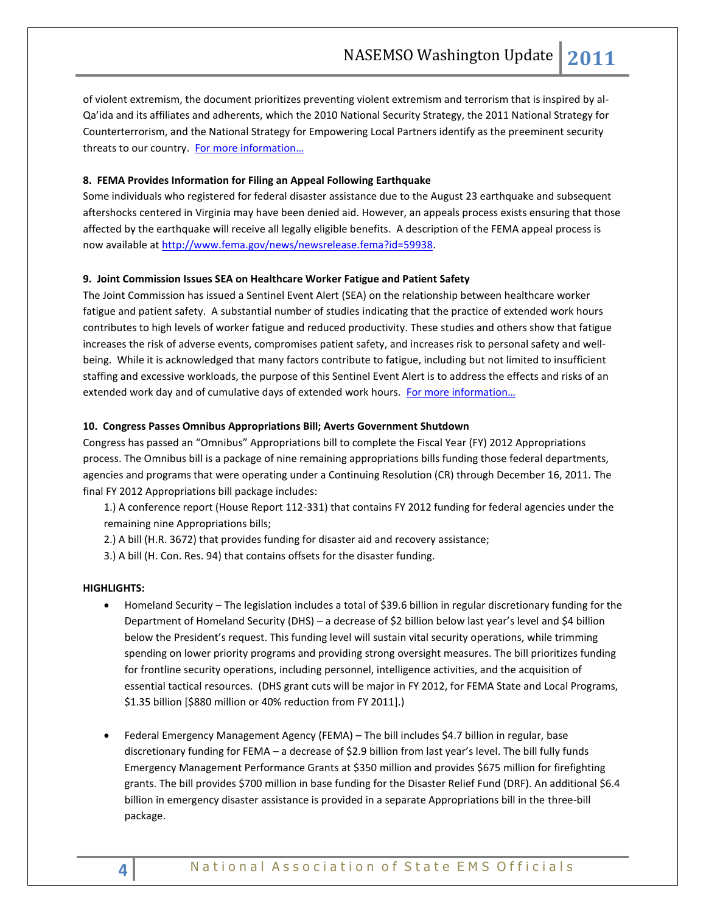of violent extremism, the document prioritizes preventing violent extremism and terrorism that is inspired by al-Qa'ida and its affiliates and adherents, which the 2010 National Security Strategy, the 2011 National Strategy for Counterterrorism, and the National Strategy for Empowering Local Partners identify as the preeminent security threats to our country. For more information...

## **8. FEMA Provides Information for Filing an Appeal Following Earthquake**

Some individuals who registered for federal disaster assistance due to the August 23 earthquake and subsequent aftershocks centered in Virginia may have been denied aid. However, an appeals process exists ensuring that those affected by the earthquake will receive all legally eligible benefits. A description of the FEMA appeal process is now available a[t http://www.fema.gov/news/newsrelease.fema?id=59938.](http://www.fema.gov/news/newsrelease.fema?id=59938)

## **9. Joint Commission Issues SEA on Healthcare Worker Fatigue and Patient Safety**

The Joint Commission has issued a Sentinel Event Alert (SEA) on the relationship between healthcare worker fatigue and patient safety. A substantial number of studies indicating that the practice of extended work hours contributes to high levels of worker fatigue and reduced productivity. These studies and others show that fatigue increases the risk of adverse events, compromises patient safety, and increases risk to personal safety and wellbeing. While it is acknowledged that many factors contribute to fatigue, including but not limited to insufficient staffing and excessive workloads, the purpose of this Sentinel Event Alert is to address the effects and risks of an extended work day and of cumulative days of extended work hours. For more information...

#### **10. Congress Passes Omnibus Appropriations Bill; Averts Government Shutdown**

Congress has passed an "Omnibus" Appropriations bill to complete the Fiscal Year (FY) 2012 Appropriations process. The Omnibus bill is a package of nine remaining appropriations bills funding those federal departments, agencies and programs that were operating under a Continuing Resolution (CR) through December 16, 2011. The final FY 2012 Appropriations bill package includes:

1.) A conference report (House Report 112-331) that contains FY 2012 funding for federal agencies under the remaining nine Appropriations bills;

2.) A bill (H.R. 3672) that provides funding for disaster aid and recovery assistance;

3.) A bill (H. Con. Res. 94) that contains offsets for the disaster funding.

# **HIGHLIGHTS:**

- Homeland Security The legislation includes a total of \$39.6 billion in regular discretionary funding for the Department of Homeland Security (DHS) – a decrease of \$2 billion below last year's level and \$4 billion below the President's request. This funding level will sustain vital security operations, while trimming spending on lower priority programs and providing strong oversight measures. The bill prioritizes funding for frontline security operations, including personnel, intelligence activities, and the acquisition of essential tactical resources. (DHS grant cuts will be major in FY 2012, for FEMA State and Local Programs, \$1.35 billion [\$880 million or 40% reduction from FY 2011].)
- Federal Emergency Management Agency (FEMA) The bill includes \$4.7 billion in regular, base discretionary funding for FEMA – a decrease of \$2.9 billion from last year's level. The bill fully funds Emergency Management Performance Grants at \$350 million and provides \$675 million for firefighting grants. The bill provides \$700 million in base funding for the Disaster Relief Fund (DRF). An additional \$6.4 billion in emergency disaster assistance is provided in a separate Appropriations bill in the three-bill package.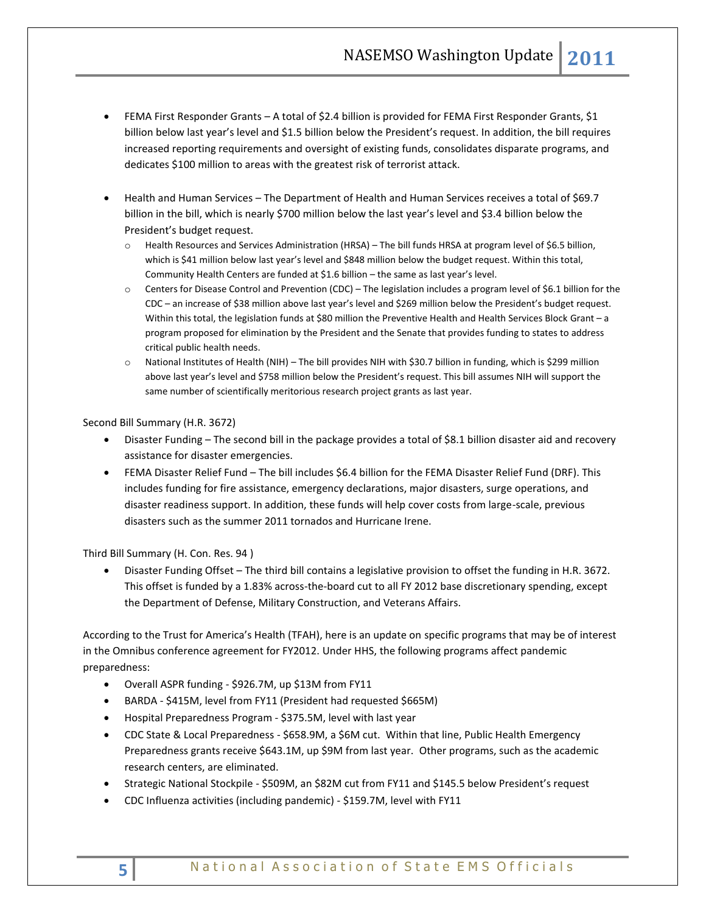- FEMA First Responder Grants A total of \$2.4 billion is provided for FEMA First Responder Grants, \$1 billion below last year's level and \$1.5 billion below the President's request. In addition, the bill requires increased reporting requirements and oversight of existing funds, consolidates disparate programs, and dedicates \$100 million to areas with the greatest risk of terrorist attack.
- Health and Human Services The Department of Health and Human Services receives a total of \$69.7 billion in the bill, which is nearly \$700 million below the last year's level and \$3.4 billion below the President's budget request.
	- o Health Resources and Services Administration (HRSA) The bill funds HRSA at program level of \$6.5 billion, which is \$41 million below last year's level and \$848 million below the budget request. Within this total, Community Health Centers are funded at \$1.6 billion – the same as last year's level.
	- $\circ$  Centers for Disease Control and Prevention (CDC) The legislation includes a program level of \$6.1 billion for the CDC – an increase of \$38 million above last year's level and \$269 million below the President's budget request. Within this total, the legislation funds at \$80 million the Preventive Health and Health Services Block Grant – a program proposed for elimination by the President and the Senate that provides funding to states to address critical public health needs.
	- o National Institutes of Health (NIH) The bill provides NIH with \$30.7 billion in funding, which is \$299 million above last year's level and \$758 million below the President's request. This bill assumes NIH will support the same number of scientifically meritorious research project grants as last year.

Second Bill Summary (H.R. 3672)

- Disaster Funding The second bill in the package provides a total of \$8.1 billion disaster aid and recovery assistance for disaster emergencies.
- FEMA Disaster Relief Fund The bill includes \$6.4 billion for the FEMA Disaster Relief Fund (DRF). This includes funding for fire assistance, emergency declarations, major disasters, surge operations, and disaster readiness support. In addition, these funds will help cover costs from large-scale, previous disasters such as the summer 2011 tornados and Hurricane Irene.

Third Bill Summary (H. Con. Res. 94 )

 Disaster Funding Offset – The third bill contains a legislative provision to offset the funding in H.R. 3672. This offset is funded by a 1.83% across-the-board cut to all FY 2012 base discretionary spending, except the Department of Defense, Military Construction, and Veterans Affairs.

According to the Trust for America's Health (TFAH), here is an update on specific programs that may be of interest in the Omnibus conference agreement for FY2012. Under HHS, the following programs affect pandemic preparedness:

- Overall ASPR funding \$926.7M, up \$13M from FY11
- BARDA \$415M, level from FY11 (President had requested \$665M)
- Hospital Preparedness Program \$375.5M, level with last year
- CDC State & Local Preparedness \$658.9M, a \$6M cut. Within that line, Public Health Emergency Preparedness grants receive \$643.1M, up \$9M from last year. Other programs, such as the academic research centers, are eliminated.
- Strategic National Stockpile \$509M, an \$82M cut from FY11 and \$145.5 below President's request
- CDC Influenza activities (including pandemic) \$159.7M, level with FY11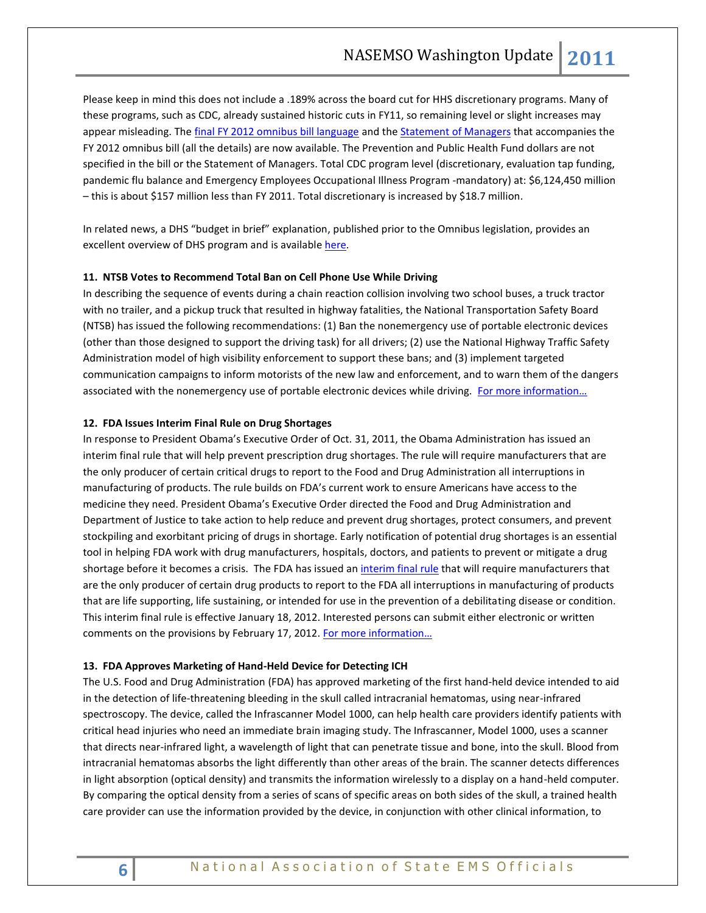Please keep in mind this does not include a .189% across the board cut for HHS discretionary programs. Many of these programs, such as CDC, already sustained historic cuts in FY11, so remaining level or slight increases may appear misleading. Th[e final FY 2012 omnibus bill language](http://rules.house.gov/Media/file/PDF_112_1/legislativetext/HR3671-IH-P6.pdf) and th[e Statement of Managers](http://rules.house.gov/Media/file/PDF_112_1/legislativetext/HR1540crSOM/psConference%20Div%20F%20-%20SOM%20OCR.pdf) that accompanies the FY 2012 omnibus bill (all the details) are now available. The Prevention and Public Health Fund dollars are not specified in the bill or the Statement of Managers. Total CDC program level (discretionary, evaluation tap funding, pandemic flu balance and Emergency Employees Occupational Illness Program -mandatory) at: \$6,124,450 million – this is about \$157 million less than FY 2011. Total discretionary is increased by \$18.7 million.

In related news, a DHS "budget in brief" explanation, published prior to the Omnibus legislation, provides an excellent overview of DHS program and is available here.

### **11. NTSB Votes to Recommend Total Ban on Cell Phone Use While Driving**

In describing the sequence of events during a chain reaction collision involving two school buses, a truck tractor with no trailer, and a pickup truck that resulted in highway fatalities, the National Transportation Safety Board (NTSB) has issued the following recommendations: (1) Ban the nonemergency use of portable electronic devices (other than those designed to support the driving task) for all drivers; (2) use the National Highway Traffic Safety Administration model of high visibility enforcement to support these bans; and (3) implement targeted communication campaigns to inform motorists of the new law and enforcement, and to warn them of the dangers associated with the nonemergency use of portable electronic devices while driving. For more information...

#### **12. FDA Issues Interim Final Rule on Drug Shortages**

In response to President Obama's Executive Order of Oct. 31, 2011, the Obama Administration has issued an interim final rule that will help prevent prescription drug shortages. The rule will require manufacturers that are the only producer of certain critical drugs to report to the Food and Drug Administration all interruptions in manufacturing of products. The rule builds on FDA's current work to ensure Americans have access to the medicine they need. President Obama's Executive Order directed the Food and Drug Administration and Department of Justice to take action to help reduce and prevent drug shortages, protect consumers, and prevent stockpiling and exorbitant pricing of drugs in shortage. Early notification of potential drug shortages is an essential tool in helping FDA work with drug manufacturers, hospitals, doctors, and patients to prevent or mitigate a drug shortage before it becomes a crisis. The FDA has issued an [interim final rule](http://www.gpo.gov/fdsys/pkg/FR-2011-12-19/html/2011-32354.htm) that will require manufacturers that are the only producer of certain drug products to report to the FDA all interruptions in manufacturing of products that are life supporting, life sustaining, or intended for use in the prevention of a debilitating disease or condition. This interim final rule is effective January 18, 2012. Interested persons can submit either electronic or written comments on the provisions by February 17, 2012. For more information...

#### **13. FDA Approves Marketing of Hand-Held Device for Detecting ICH**

The U.S. Food and Drug Administration (FDA) has approved marketing of the first hand-held device intended to aid in the detection of life-threatening bleeding in the skull called intracranial hematomas, using near-infrared spectroscopy. The device, called the Infrascanner Model 1000, can help health care providers identify patients with critical head injuries who need an immediate brain imaging study. The Infrascanner, Model 1000, uses a scanner that directs near-infrared light, a wavelength of light that can penetrate tissue and bone, into the skull. Blood from intracranial hematomas absorbs the light differently than other areas of the brain. The scanner detects differences in light absorption (optical density) and transmits the information wirelessly to a display on a hand-held computer. By comparing the optical density from a series of scans of specific areas on both sides of the skull, a trained health care provider can use the information provided by the device, in conjunction with other clinical information, to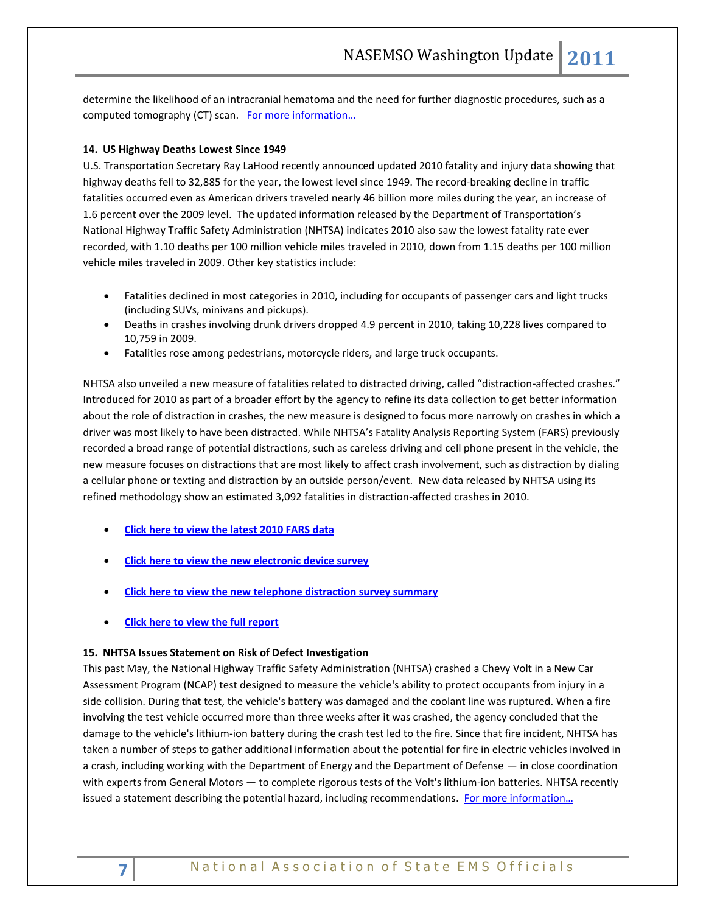determine the likelihood of an intracranial hematoma and the need for further diagnostic procedures, such as a computed tomography (CT) scan. For more information...

## **14. US Highway Deaths Lowest Since 1949**

U.S. Transportation Secretary Ray LaHood recently announced updated 2010 fatality and injury data showing that highway deaths fell to 32,885 for the year, the lowest level since 1949. The record-breaking decline in traffic fatalities occurred even as American drivers traveled nearly 46 billion more miles during the year, an increase of 1.6 percent over the 2009 level. The updated information released by the Department of Transportation's National Highway Traffic Safety Administration (NHTSA) indicates 2010 also saw the lowest fatality rate ever recorded, with 1.10 deaths per 100 million vehicle miles traveled in 2010, down from 1.15 deaths per 100 million vehicle miles traveled in 2009. Other key statistics include:

- Fatalities declined in most categories in 2010, including for occupants of passenger cars and light trucks (including SUVs, minivans and pickups).
- Deaths in crashes involving drunk drivers dropped 4.9 percent in 2010, taking 10,228 lives compared to 10,759 in 2009.
- Fatalities rose among pedestrians, motorcycle riders, and large truck occupants.

NHTSA also unveiled a new measure of fatalities related to distracted driving, called "distraction-affected crashes." Introduced for 2010 as part of a broader effort by the agency to refine its data collection to get better information about the role of distraction in crashes, the new measure is designed to focus more narrowly on crashes in which a driver was most likely to have been distracted. While NHTSA's Fatality Analysis Reporting System (FARS) previously recorded a broad range of potential distractions, such as careless driving and cell phone present in the vehicle, the new measure focuses on distractions that are most likely to affect crash involvement, such as distraction by dialing a cellular phone or texting and distraction by an outside person/event. New data released by NHTSA using its refined methodology show an estimated 3,092 fatalities in distraction-affected crashes in 2010.

- **[Click here to view the latest 2010 FARS data](http://links.govdelivery.com/track?type=click&enid=ZWFzPTEmbWFpbGluZ2lkPTIwMTExMjA4LjQzMzYzODEmbWVzc2FnZWlkPU1EQi1QUkQtQlVMLTIwMTExMjA4LjQzMzYzODEmZGF0YWJhc2VpZD0xMDAxJnNlcmlhbD0xNjc5ODg3OCZlbWFpbGlkPXJvYmluc29uQG5hc2Vtc28ub3JnJnVzZXJpZD1yb2JpbnNvbkBuYXNlbXNvLm9yZyZmbD0mZXh0cmE9TXVsdGl2YXJpYXRlSWQ9JiYm&&&100&&&http://www-nrd.nhtsa.dot.gov/Pubs/811552.pdf)**
- **[Click here to view the new electronic device survey](http://links.govdelivery.com/track?type=click&enid=ZWFzPTEmbWFpbGluZ2lkPTIwMTExMjA4LjQzMzYzODEmbWVzc2FnZWlkPU1EQi1QUkQtQlVMLTIwMTExMjA4LjQzMzYzODEmZGF0YWJhc2VpZD0xMDAxJnNlcmlhbD0xNjc5ODg3OCZlbWFpbGlkPXJvYmluc29uQG5hc2Vtc28ub3JnJnVzZXJpZD1yb2JpbnNvbkBuYXNlbXNvLm9yZyZmbD0mZXh0cmE9TXVsdGl2YXJpYXRlSWQ9JiYm&&&101&&&http://www-nrd.nhtsa.dot.gov/Pubs/811517.pdf)**
- **[Click here to view the new telephone distraction survey summary](http://links.govdelivery.com/track?type=click&enid=ZWFzPTEmbWFpbGluZ2lkPTIwMTExMjA4LjQzMzYzODEmbWVzc2FnZWlkPU1EQi1QUkQtQlVMLTIwMTExMjA4LjQzMzYzODEmZGF0YWJhc2VpZD0xMDAxJnNlcmlhbD0xNjc5ODg3OCZlbWFpbGlkPXJvYmluc29uQG5hc2Vtc28ub3JnJnVzZXJpZD1yb2JpbnNvbkBuYXNlbXNvLm9yZyZmbD0mZXh0cmE9TXVsdGl2YXJpYXRlSWQ9JiYm&&&102&&&http://www.nhtsa.gov/staticfiles/traffic_tech/tt407.pdf)**
- **[Click here to view the full report](http://links.govdelivery.com/track?type=click&enid=ZWFzPTEmbWFpbGluZ2lkPTIwMTExMjA4LjQzMzYzODEmbWVzc2FnZWlkPU1EQi1QUkQtQlVMLTIwMTExMjA4LjQzMzYzODEmZGF0YWJhc2VpZD0xMDAxJnNlcmlhbD0xNjc5ODg3OCZlbWFpbGlkPXJvYmluc29uQG5hc2Vtc28ub3JnJnVzZXJpZD1yb2JpbnNvbkBuYXNlbXNvLm9yZyZmbD0mZXh0cmE9TXVsdGl2YXJpYXRlSWQ9JiYm&&&103&&&http://www.nhtsa.gov/staticfiles/nti/pdf/811555.pdf)**

## **15. NHTSA Issues Statement on Risk of Defect Investigation**

This past May, the National Highway Traffic Safety Administration (NHTSA) crashed a Chevy Volt in a New Car Assessment Program (NCAP) test designed to measure the vehicle's ability to protect occupants from injury in a side collision. During that test, the vehicle's battery was damaged and the coolant line was ruptured. When a fire involving the test vehicle occurred more than three weeks after it was crashed, the agency concluded that the damage to the vehicle's lithium-ion battery during the crash test led to the fire. Since that fire incident, NHTSA has taken a number of steps to gather additional information about the potential for fire in electric vehicles involved in a crash, including working with the Department of Energy and the Department of Defense — in close coordination with experts from General Motors — to complete rigorous tests of the Volt's lithium-ion batteries. NHTSA recently issued a statement describing the potential hazard, including recommendations. For more information...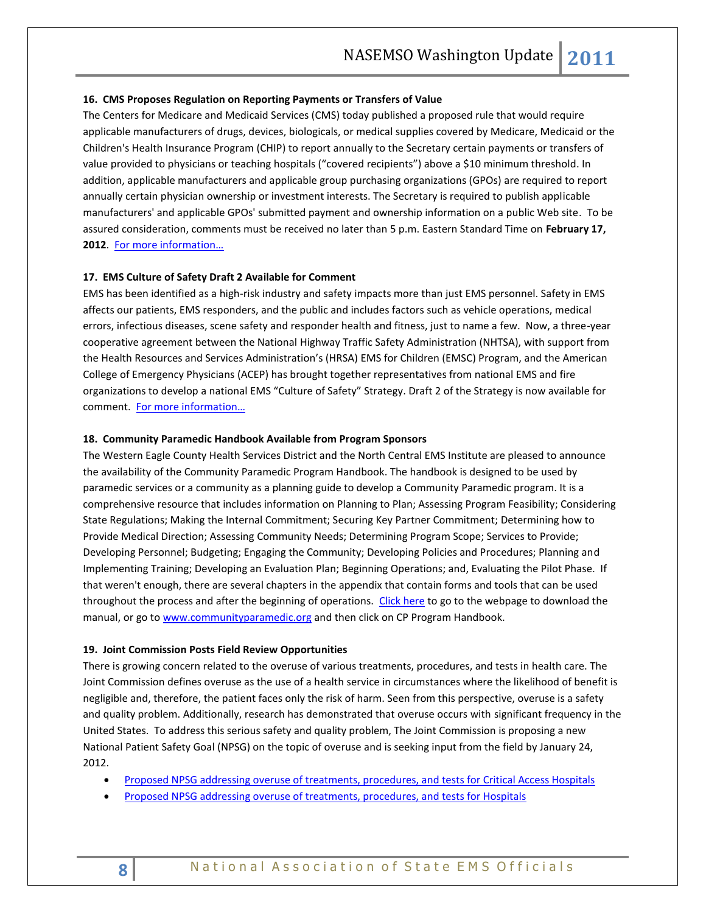#### **16. CMS Proposes Regulation on Reporting Payments or Transfers of Value**

The Centers for Medicare and Medicaid Services (CMS) today published a proposed rule that would require applicable manufacturers of drugs, devices, biologicals, or medical supplies covered by Medicare, Medicaid or the Children's Health Insurance Program (CHIP) to report annually to the Secretary certain payments or transfers of value provided to physicians or teaching hospitals ("covered recipients") above a \$10 minimum threshold. In addition, applicable manufacturers and applicable group purchasing organizations (GPOs) are required to report annually certain physician ownership or investment interests. The Secretary is required to publish applicable manufacturers' and applicable GPOs' submitted payment and ownership information on a public Web site. To be assured consideration, comments must be received no later than 5 p.m. Eastern Standard Time on **February 17, 2012**. [For more information…](http://www.gpo.gov/fdsys/pkg/FR-2011-12-19/pdf/2011-32244.pdf)

## **17. EMS Culture of Safety Draft 2 Available for Comment**

EMS has been identified as a high-risk industry and safety impacts more than just EMS personnel. Safety in EMS affects our patients, EMS responders, and the public and includes factors such as vehicle operations, medical errors, infectious diseases, scene safety and responder health and fitness, just to name a few. Now, a three-year cooperative agreement between the National Highway Traffic Safety Administration (NHTSA), with support from the Health Resources and Services Administration's (HRSA) EMS for Children (EMSC) Program, and the American College of Emergency Physicians (ACEP) has brought together representatives from national EMS and fire organizations to develop a national EMS "Culture of Safety" Strategy. Draft 2 of the Strategy is now available for comment. [For more information…](http://www.emscultureofsafety.org/)

#### **18. Community Paramedic Handbook Available from Program Sponsors**

The Western Eagle County Health Services District and the North Central EMS Institute are pleased to announce the availability of the Community Paramedic Program Handbook. The handbook is designed to be used by paramedic services or a community as a planning guide to develop a Community Paramedic program. It is a comprehensive resource that includes information on Planning to Plan; Assessing Program Feasibility; Considering State Regulations; Making the Internal Commitment; Securing Key Partner Commitment; Determining how to Provide Medical Direction; Assessing Community Needs; Determining Program Scope; Services to Provide; Developing Personnel; Budgeting; Engaging the Community; Developing Policies and Procedures; Planning and Implementing Training; Developing an Evaluation Plan; Beginning Operations; and, Evaluating the Pilot Phase. If that weren't enough, there are several chapters in the appendix that contain forms and tools that can be used throughout the process and after the beginning of operations. [Click here](http://communityparamedic.org/CPProgramHandbook.aspx) to go to the webpage to download the manual, or go to [www.communityparamedic.org](http://www.communityparamedic.org/) and then click on CP Program Handbook.

#### **19. Joint Commission Posts Field Review Opportunities**

There is growing concern related to the overuse of various treatments, procedures, and tests in health care. The Joint Commission defines overuse as the use of a health service in circumstances where the likelihood of benefit is negligible and, therefore, the patient faces only the risk of harm. Seen from this perspective, overuse is a safety and quality problem. Additionally, research has demonstrated that overuse occurs with significant frequency in the United States. To address this serious safety and quality problem, The Joint Commission is proposing a new National Patient Safety Goal (NPSG) on the topic of overuse and is seeking input from the field by January 24, 2012.

- Proposed NPSG addressing overuse of treatments, procedures, and tests for Critical Access Hospitals
- [Proposed NPSG addressing overuse of treatments, procedures, and tests for Hospitals](http://www.jointcommission.org/assets/1/6/HAP_NPSG_Overuse_Rpt_2011-11-14.pdf)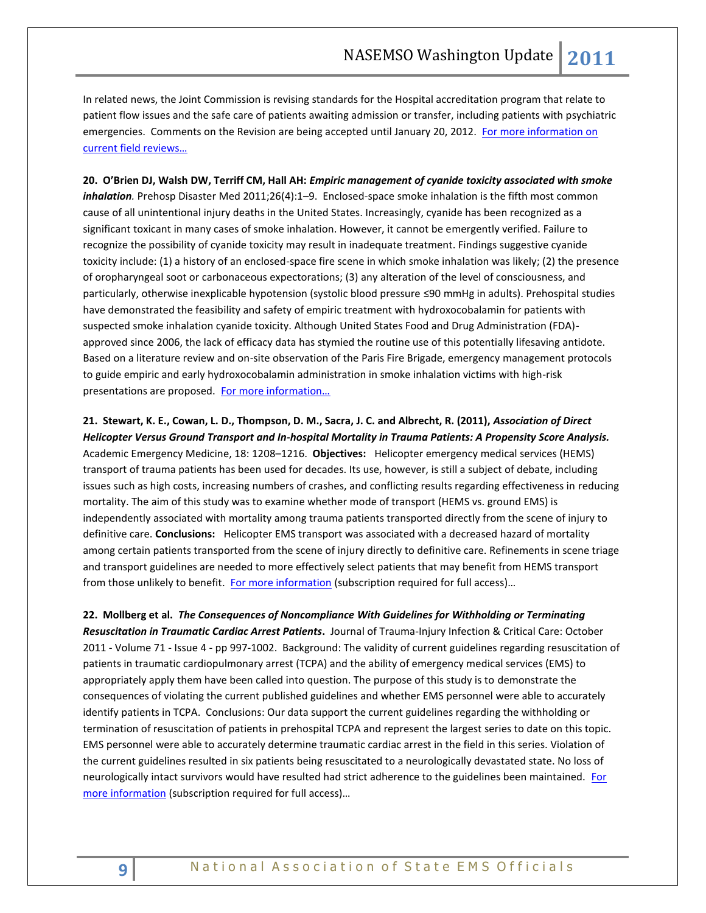In related news, the Joint Commission is revising standards for the Hospital accreditation program that relate to patient flow issues and the safe care of patients awaiting admission or transfer, including patients with psychiatric emergencies. Comments on the Revision are being accepted until January 20, 2012. For more information on [current field reviews…](http://www.jointcommission.org/standards_information/field_reviews.aspx?StandardsFieldReviewId=18)

**20. O'Brien DJ, Walsh DW, Terriff CM, Hall AH:** *Empiric management of cyanide toxicity associated with smoke inhalation.* Prehosp Disaster Med 2011;26(4):1–9. Enclosed-space smoke inhalation is the fifth most common cause of all unintentional injury deaths in the United States. Increasingly, cyanide has been recognized as a significant toxicant in many cases of smoke inhalation. However, it cannot be emergently verified. Failure to recognize the possibility of cyanide toxicity may result in inadequate treatment. Findings suggestive cyanide toxicity include: (1) a history of an enclosed-space fire scene in which smoke inhalation was likely; (2) the presence of oropharyngeal soot or carbonaceous expectorations; (3) any alteration of the level of consciousness, and particularly, otherwise inexplicable hypotension (systolic blood pressure ≤90 mmHg in adults). Prehospital studies have demonstrated the feasibility and safety of empiric treatment with hydroxocobalamin for patients with suspected smoke inhalation cyanide toxicity. Although United States Food and Drug Administration (FDA) approved since 2006, the lack of efficacy data has stymied the routine use of this potentially lifesaving antidote. Based on a literature review and on-site observation of the Paris Fire Brigade, emergency management protocols to guide empiric and early hydroxocobalamin administration in smoke inhalation victims with high-risk presentations are proposed. For more information...

**21. Stewart, K. E., Cowan, L. D., Thompson, D. M., Sacra, J. C. and Albrecht, R. (2011),** *Association of Direct Helicopter Versus Ground Transport and In-hospital Mortality in Trauma Patients: A Propensity Score Analysis.* Academic Emergency Medicine, 18: 1208–1216. **Objectives:** Helicopter emergency medical services (HEMS) transport of trauma patients has been used for decades. Its use, however, is still a subject of debate, including issues such as high costs, increasing numbers of crashes, and conflicting results regarding effectiveness in reducing mortality. The aim of this study was to examine whether mode of transport (HEMS vs. ground EMS) is independently associated with mortality among trauma patients transported directly from the scene of injury to definitive care. **Conclusions:** Helicopter EMS transport was associated with a decreased hazard of mortality among certain patients transported from the scene of injury directly to definitive care. Refinements in scene triage and transport guidelines are needed to more effectively select patients that may benefit from HEMS transport from those unlikely to benefit. [For more information](http://onlinelibrary.wiley.com/doi/10.1111/j.1553-2712.2011.01207.x/abstract) (subscription required for full access)...

**22. Mollberg et al.** *The Consequences of Noncompliance With Guidelines for Withholding or Terminating Resuscitation in Traumatic Cardiac Arrest Patients***.** Journal of Trauma-Injury Infection & Critical Care: October 2011 - Volume 71 - Issue 4 - pp 997-1002. Background: The validity of current guidelines regarding resuscitation of patients in traumatic cardiopulmonary arrest (TCPA) and the ability of emergency medical services (EMS) to appropriately apply them have been called into question. The purpose of this study is to demonstrate the consequences of violating the current published guidelines and whether EMS personnel were able to accurately identify patients in TCPA. Conclusions: Our data support the current guidelines regarding the withholding or termination of resuscitation of patients in prehospital TCPA and represent the largest series to date on this topic. EMS personnel were able to accurately determine traumatic cardiac arrest in the field in this series. Violation of the current guidelines resulted in six patients being resuscitated to a neurologically devastated state. No loss of neurologically intact survivors would have resulted had strict adherence to the guidelines been maintained. For [more information](http://journals.lww.com/jtrauma/Abstract/2011/10000/The_Consequences_of_Noncompliance_With_Guidelines.33.aspx) (subscription required for full access)...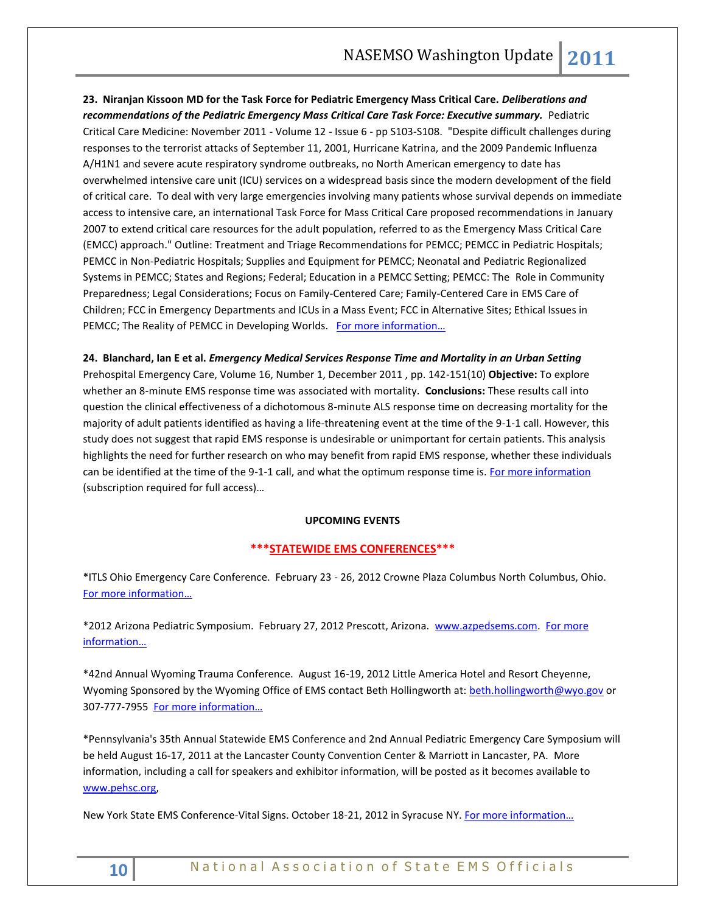**23. Niranjan Kissoon MD for the Task Force for Pediatric Emergency Mass Critical Care.** *Deliberations and recommendations of the Pediatric Emergency Mass Critical Care Task Force: Executive summary.* Pediatric Critical Care Medicine: November 2011 - Volume 12 - Issue 6 - pp S103-S108. "Despite difficult challenges during responses to the terrorist attacks of September 11, 2001, Hurricane Katrina, and the 2009 Pandemic Influenza A/H1N1 and severe acute respiratory syndrome outbreaks, no North American emergency to date has overwhelmed intensive care unit (ICU) services on a widespread basis since the modern development of the field of critical care. To deal with very large emergencies involving many patients whose survival depends on immediate access to intensive care, an international Task Force for Mass Critical Care proposed recommendations in January 2007 to extend critical care resources for the adult population, referred to as the Emergency Mass Critical Care (EMCC) approach." Outline: Treatment and Triage Recommendations for PEMCC; PEMCC in Pediatric Hospitals; PEMCC in Non-Pediatric Hospitals; Supplies and Equipment for PEMCC; Neonatal and Pediatric Regionalized Systems in PEMCC; States and Regions; Federal; Education in a PEMCC Setting; PEMCC: The Role in Community Preparedness; Legal Considerations; Focus on Family-Centered Care; Family-Centered Care in EMS Care of Children; FCC in Emergency Departments and ICUs in a Mass Event; FCC in Alternative Sites; Ethical Issues in PEMCC; The Reality of PEMCC in Developing Worlds. For more information...

**24. Blanchard, Ian E et al.** *Emergency Medical Services Response Time and Mortality in an Urban Setting* Prehospital Emergency Care, Volume 16, Number 1, December 2011 , pp. 142-151(10) **Objective:** To explore whether an 8-minute EMS response time was associated with mortality. **Conclusions:** These results call into question the clinical effectiveness of a dichotomous 8-minute ALS response time on decreasing mortality for the majority of adult patients identified as having a life-threatening event at the time of the 9-1-1 call. However, this study does not suggest that rapid EMS response is undesirable or unimportant for certain patients. This analysis highlights the need for further research on who may benefit from rapid EMS response, whether these individuals can be identified at the time of the 9-1-1 call, and what the optimum response time is. [For more information](http://www.ingentaconnect.com/content/apl/upec/2011/00000016/00000001/art00017) (subscription required for full access)…

## **UPCOMING EVENTS**

## **\*\*\*STATEWIDE EMS CONFERENCES\*\*\***

\*ITLS Ohio Emergency Care Conference. February 23 - 26, 2012 Crowne Plaza Columbus North Columbus, Ohio. [For more information…](http://www.publicsafety.ohio.gov/links/MR2011/2012%20ECC%20Brochure%20WEB.pdf)

\*2012 Arizona Pediatric Symposium. February 27, 2012 Prescott, Arizona. [www.azpedsems.com.](http://www.azpedsems.com/) [For more](http://www.azdhs.gov/bems/pdf/conf/2012PediatricSymposium.pdf)  [information…](http://www.azdhs.gov/bems/pdf/conf/2012PediatricSymposium.pdf)

\*42nd Annual Wyoming Trauma Conference. August 16-19, 2012 Little America Hotel and Resort Cheyenne, Wyoming Sponsored by the Wyoming Office of EMS contact Beth Hollingworth at: [beth.hollingworth@wyo.gov](mailto:beth.hollingworth@wyo.gov) or 307-777-7955 For more information...

\*Pennsylvania's 35th Annual Statewide EMS Conference and 2nd Annual Pediatric Emergency Care Symposium will be held August 16-17, 2011 at the Lancaster County Convention Center & Marriott in Lancaster, PA. More information, including a call for speakers and exhibitor information, will be posted as it becomes available to [www.pehsc.org,](http://www.pehsc.org/)

New York State EMS Conference-Vital Signs. October 18-21, 2012 in Syracuse NY. [For more information…](http://www.vitalsignsconference.com/)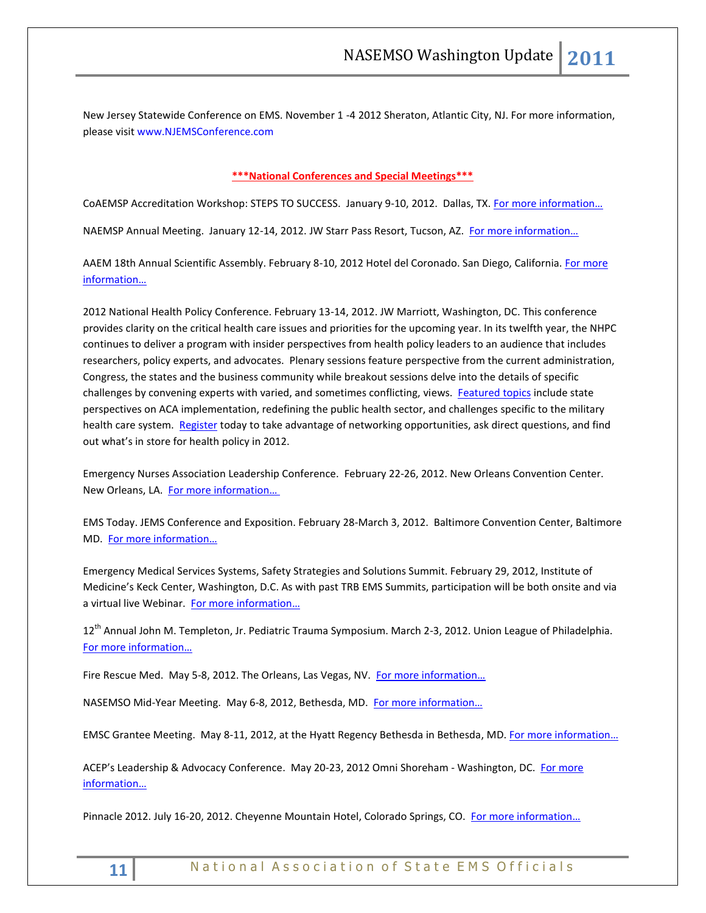New Jersey Statewide Conference on EMS. November 1 -4 2012 Sheraton, Atlantic City, NJ. For more information, please visit www.NJEMSConference.com

### **\*\*\*National Conferences and Special Meetings\*\*\***

CoAEMSP Accreditation Workshop: STEPS TO SUCCESS. January 9-10, 2012. Dallas, TX. For more information...

NAEMSP Annual Meeting. January 12-14, 2012. JW Starr Pass Resort, Tucson, AZ. [For more information…](http://www.naemsp.org/meetings.html)

AAEM 18th Annual Scientific Assembly. February 8-10, 2012 Hotel del Coronado. San Diego, California. [For more](http://www.aaem.org/education/scientificassembly/)  [information…](http://www.aaem.org/education/scientificassembly/)

2012 National Health Policy Conference. February 13-14, 2012. JW Marriott, Washington, DC. This conference provides clarity on the critical health care issues and priorities for the upcoming year. In its twelfth year, the NHPC continues to deliver a program with insider perspectives from health policy leaders to an audience that includes researchers, policy experts, and advocates. Plenary sessions feature perspective from the current administration, Congress, the states and the business community while breakout sessions delve into the details of specific challenges by convening experts with varied, and sometimes conflicting, views. [Featured topics](http://www.academyhealth.org/Events/events.cfm?ItemNumber=2568&navItemNumber=2012) include state perspectives on ACA implementation, redefining the public health sector, and challenges specific to the military health care system. [Register](http://academyhealth.org/content.cfm?ItemNumber=1569&navItemNumber=2017) today to take advantage of networking opportunities, ask direct questions, and find out what's in store for health policy in 2012.

Emergency Nurses Association Leadership Conference. February 22-26, 2012. New Orleans Convention Center. New Orleans, LA. [For more information…](http://www.ena.org/coursesandeducation/conferences/Pages/Default.aspx)

EMS Today. JEMS Conference and Exposition. February 28-March 3, 2012. Baltimore Convention Center, Baltimore MD. [For more information…](http://www.emstoday.com/)

Emergency Medical Services Systems, Safety Strategies and Solutions Summit. February 29, 2012, Institute of Medicine's Keck Center, Washington, D.C. As with past TRB EMS Summits, participation will be both onsite and via a virtual live Webinar. For more information...

12<sup>th</sup> Annual John M. Templeton, Jr. Pediatric Trauma Symposium. March 2-3, 2012. Union League of Philadelphia. [For more information…](http://www.chop.edu/professionals/educational-resources/continuing-medical-education/cme.html)

Fire Rescue Med. May 5-8, 2012. The Orleans, Las Vegas, NV. [For more information…](http://www.iafc.org/frm)

NASEMSO Mid-Year Meeting. May 6-8, 2012, Bethesda, MD. For more information...

EMSC Grantee Meeting. May 8-11, 2012, at the Hyatt Regency Bethesda in Bethesda, MD. For more information...

ACEP's Leadership & Advocacy Conference. May 20-23, 2012 Omni Shoreham - Washington, DC. For more [informatio](http://www.acep.org/)n…

Pinnacle 2012. July 16-20, 2012. Cheyenne Mountain Hotel, Colorado Springs, CO. For more information...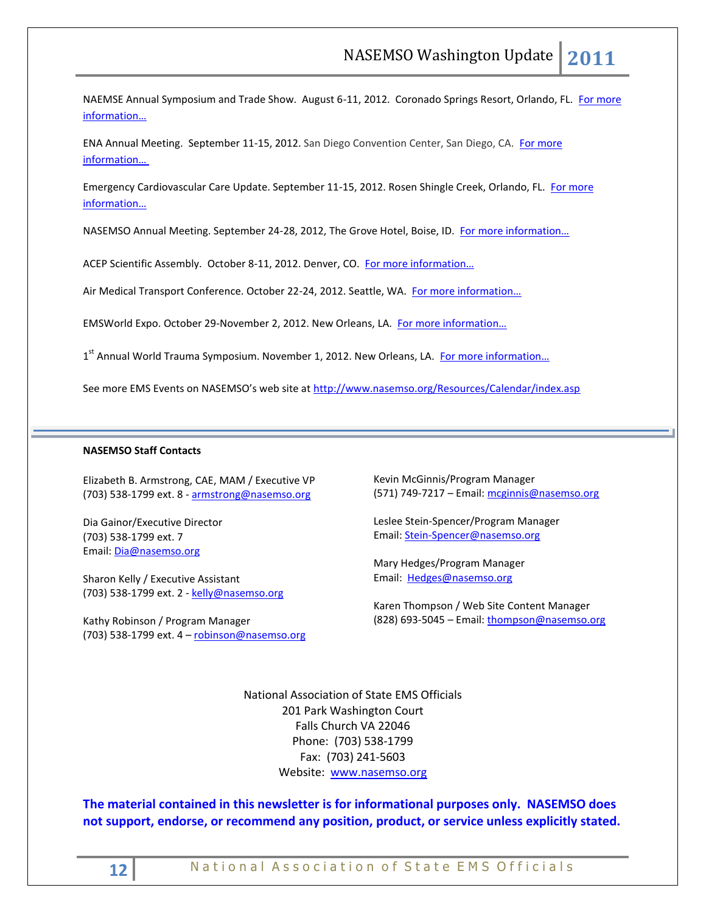NAEMSE Annual Symposium and Trade Show. August 6-11, 2012. Coronado Springs Resort, Orlando, FL. For more [information…](http://www.naemse.org/symposium)

ENA Annual Meeting. September 11-15, 2012. San Diego Convention Center, San Diego, CA. [For more](http://www.ena.org/coursesandeducation/conferences/Pages/Default.aspx)  inform[ation…](http://www.ena.org/coursesandeducation/conferences/Pages/Default.aspx)

Emergency Cardiovascular Care Update. September 11-15, 2012. Rosen Shingle Creek, Orlando, FL. For more [information…](http://www.eccu2012.com/)

NASEMSO Annual Meeting. September 24-28, 2012, The Grove Hotel, Boise, ID. [For more information…](http://www.nasemso.org/)

ACEP Scientific Assembly. October 8-11, 2012. Denver, CO. For more information...

Air Medical Transport Conference. October 22-24, 2012. Seattle, WA. [For more information…](http://www.aams.org/)

EMSWorld Expo. October 29-November 2, 2012. New Orleans, LA. [For more information…](http://emsworldexpo.com/)

1<sup>st</sup> Annual World Trauma Symposium. November 1, 2012. New Orleans, LA. For more information...

See more EMS Events on NASEMSO's web site at <http://www.nasemso.org/Resources/Calendar/index.asp>

## **NASEMSO Staff Contacts**

Elizabeth B. Armstrong, CAE, MAM / Executive VP (703) 538-1799 ext. 8 - [armstrong@nasemso.org](mailto:armstrong@nasemso.org)

Dia Gainor/Executive Director (703) 538-1799 ext. 7 Email: [Dia@nasemso.org](mailto:Dia@nasemso.org)

Sharon Kelly / Executive Assistant (703) 538-1799 ext. 2 - [kelly@nasemso.org](mailto:kelly@nasemso.org)

Kathy Robinson / Program Manager (703) 538-1799 ext. 4 – [robinson@nasemso.org](mailto:robinson@nasemso.org) Kevin McGinnis/Program Manager (571) 749-7217 - Email: [mcginnis@nasemso.org](mailto:mcginnis@nasemso.org)

Leslee Stein-Spencer/Program Manager Email: [Stein-Spencer@nasemso.org](mailto:Stein-Spencer@nasemso.org)

Mary Hedges/Program Manager Email: [Hedges@nasemso.org](mailto:Hedges@nasemso.org)

Karen Thompson / Web Site Content Manager (828) 693-5045 - Email: [thompson@nasemso.org](mailto:thompson@nasemso.org)

National Association of State EMS Officials 201 Park Washington Court Falls Church VA 22046 Phone: (703) 538-1799 Fax: (703) 241-5603 Website: [www.nasemso.org](http://www.nasemso.org/)

**The material contained in this newsletter is for informational purposes only. NASEMSO does not support, endorse, or recommend any position, product, or service unless explicitly stated.**